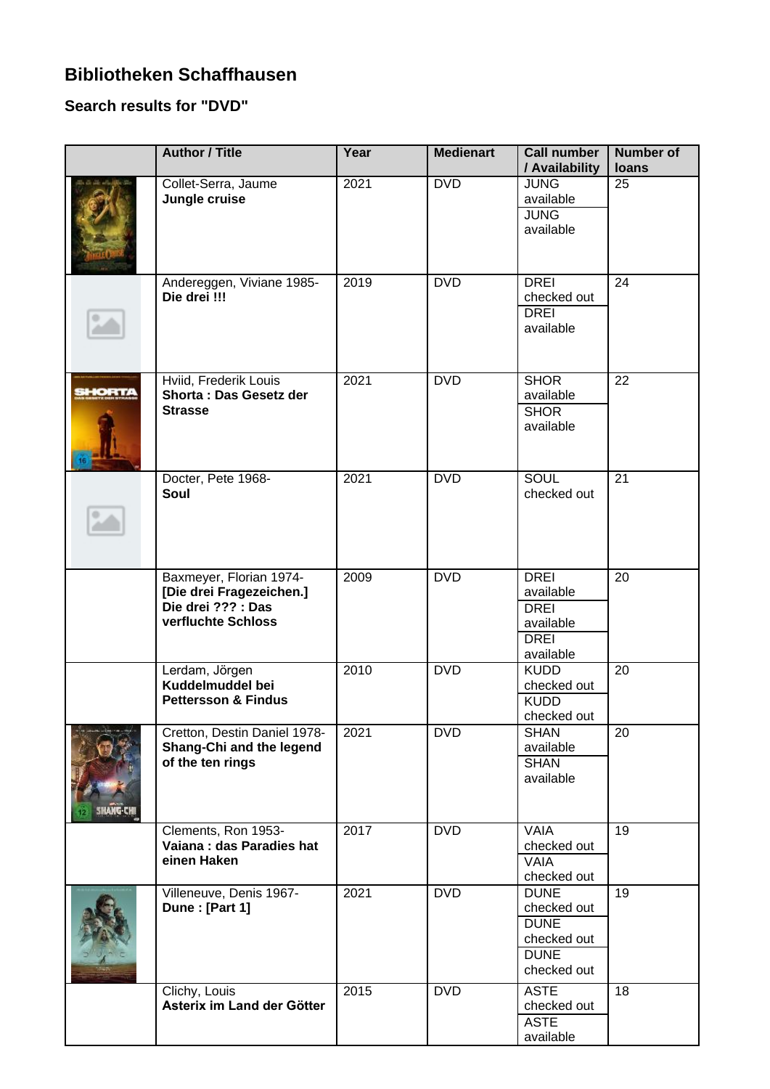## **Bibliotheken Schaffhausen**

## **Search results for "DVD"**

|               | <b>Author / Title</b>                                                                           | Year | <b>Medienart</b> | <b>Call number</b><br>/ Availability                                                   | <b>Number of</b><br>loans |
|---------------|-------------------------------------------------------------------------------------------------|------|------------------|----------------------------------------------------------------------------------------|---------------------------|
|               | Collet-Serra, Jaume<br>Jungle cruise                                                            | 2021 | <b>DVD</b>       | <b>JUNG</b><br>available<br><b>JUNG</b><br>available                                   | 25                        |
|               | Andereggen, Viviane 1985-<br>Die drei !!!                                                       | 2019 | <b>DVD</b>       | <b>DREI</b><br>checked out<br><b>DREI</b><br>available                                 | $\overline{24}$           |
| <b>IHORT/</b> | Hviid, Frederik Louis<br>Shorta: Das Gesetz der<br><b>Strasse</b>                               | 2021 | <b>DVD</b>       | <b>SHOR</b><br>available<br><b>SHOR</b><br>available                                   | 22                        |
|               | Docter, Pete 1968-<br>Soul                                                                      | 2021 | <b>DVD</b>       | <b>SOUL</b><br>checked out                                                             | 21                        |
|               | Baxmeyer, Florian 1974-<br>[Die drei Fragezeichen.]<br>Die drei ??? : Das<br>verfluchte Schloss | 2009 | <b>DVD</b>       | <b>DREI</b><br>available<br><b>DREI</b><br>available<br><b>DREI</b><br>available       | $\overline{20}$           |
|               | Lerdam, Jörgen<br>Kuddelmuddel bei<br><b>Pettersson &amp; Findus</b>                            | 2010 | <b>DVD</b>       | <b>KUDD</b><br>checked out<br><b>KUDD</b><br>checked out                               | $\overline{20}$           |
|               | Cretton, Destin Daniel 1978-<br>Shang-Chi and the legend<br>of the ten rings                    | 2021 | <b>DVD</b>       | <b>SHAN</b><br>available<br><b>SHAN</b><br>available                                   | 20                        |
|               | Clements, Ron 1953-<br>Vaiana: das Paradies hat<br>einen Haken                                  | 2017 | <b>DVD</b>       | <b>VAIA</b><br>checked out<br><b>VAIA</b><br>checked out                               | $\overline{19}$           |
|               | Villeneuve, Denis 1967-<br>Dune: [Part 1]                                                       | 2021 | <b>DVD</b>       | <b>DUNE</b><br>checked out<br><b>DUNE</b><br>checked out<br><b>DUNE</b><br>checked out | $\overline{19}$           |
|               | Clichy, Louis<br>Asterix im Land der Götter                                                     | 2015 | <b>DVD</b>       | <b>ASTE</b><br>checked out<br><b>ASTE</b><br>available                                 | 18                        |